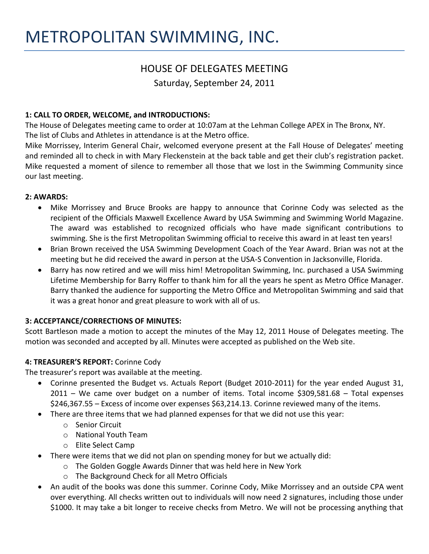# HOUSE OF DELEGATES MEETING

Saturday, September 24, 2011

# **1: CALL TO ORDER, WELCOME, and INTRODUCTIONS:**

The House of Delegates meeting came to order at 10:07am at the Lehman College APEX in The Bronx, NY. The list of Clubs and Athletes in attendance is at the Metro office.

Mike Morrissey, Interim General Chair, welcomed everyone present at the Fall House of Delegates' meeting and reminded all to check in with Mary Fleckenstein at the back table and get their club's registration packet. Mike requested a moment of silence to remember all those that we lost in the Swimming Community since our last meeting.

### **2: AWARDS:**

- Mike Morrissey and Bruce Brooks are happy to announce that Corinne Cody was selected as the recipient of the Officials Maxwell Excellence Award by USA Swimming and Swimming World Magazine. The award was established to recognized officials who have made significant contributions to swimming. She is the first Metropolitan Swimming official to receive this award in at least ten years!
- Brian Brown received the USA Swimming Development Coach of the Year Award. Brian was not at the meeting but he did received the award in person at the USA-S Convention in Jacksonville, Florida.
- Barry has now retired and we will miss him! Metropolitan Swimming, Inc. purchased a USA Swimming Lifetime Membership for Barry Roffer to thank him for all the years he spent as Metro Office Manager. Barry thanked the audience for supporting the Metro Office and Metropolitan Swimming and said that it was a great honor and great pleasure to work with all of us.

### **3: ACCEPTANCE/CORRECTIONS OF MINUTES:**

Scott Bartleson made a motion to accept the minutes of the May 12, 2011 House of Delegates meeting. The motion was seconded and accepted by all. Minutes were accepted as published on the Web site.

### **4: TREASURER'S REPORT:** Corinne Cody

The treasurer's report was available at the meeting.

- Corinne presented the Budget vs. Actuals Report (Budget 2010-2011) for the year ended August 31, 2011 – We came over budget on a number of items. Total income \$309,581.68 – Total expenses \$246,367.55 – Excess of income over expenses \$63,214.13. Corinne reviewed many of the items.
- There are three items that we had planned expenses for that we did not use this year:
	- o Senior Circuit
	- o National Youth Team
	- o Elite Select Camp
- There were items that we did not plan on spending money for but we actually did:
	- o The Golden Goggle Awards Dinner that was held here in New York
	- o The Background Check for all Metro Officials
- An audit of the books was done this summer. Corinne Cody, Mike Morrissey and an outside CPA went over everything. All checks written out to individuals will now need 2 signatures, including those under \$1000. It may take a bit longer to receive checks from Metro. We will not be processing anything that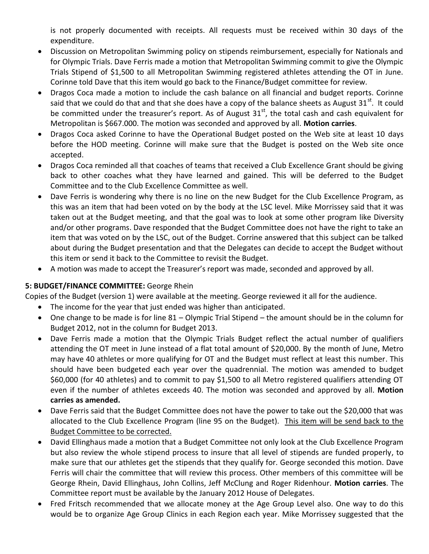is not properly documented with receipts. All requests must be received within 30 days of the expenditure.

- Discussion on Metropolitan Swimming policy on stipends reimbursement, especially for Nationals and for Olympic Trials. Dave Ferris made a motion that Metropolitan Swimming commit to give the Olympic Trials Stipend of \$1,500 to all Metropolitan Swimming registered athletes attending the OT in June. Corinne told Dave that this item would go back to the Finance/Budget committee for review.
- Dragos Coca made a motion to include the cash balance on all financial and budget reports. Corinne said that we could do that and that she does have a copy of the balance sheets as August  $31<sup>st</sup>$ . It could be committed under the treasurer's report. As of August  $31<sup>st</sup>$ , the total cash and cash equivalent for Metropolitan is \$667.000. The motion was seconded and approved by all. **Motion carries**.
- Dragos Coca asked Corinne to have the Operational Budget posted on the Web site at least 10 days before the HOD meeting. Corinne will make sure that the Budget is posted on the Web site once accepted.
- Dragos Coca reminded all that coaches of teams that received a Club Excellence Grant should be giving back to other coaches what they have learned and gained. This will be deferred to the Budget Committee and to the Club Excellence Committee as well.
- Dave Ferris is wondering why there is no line on the new Budget for the Club Excellence Program, as this was an item that had been voted on by the body at the LSC level. Mike Morrissey said that it was taken out at the Budget meeting, and that the goal was to look at some other program like Diversity and/or other programs. Dave responded that the Budget Committee does not have the right to take an item that was voted on by the LSC, out of the Budget. Corrine answered that this subject can be talked about during the Budget presentation and that the Delegates can decide to accept the Budget without this item or send it back to the Committee to revisit the Budget.
- A motion was made to accept the Treasurer's report was made, seconded and approved by all.

### **5: BUDGET/FINANCE COMMITTEE:** George Rhein

Copies of the Budget (version 1) were available at the meeting. George reviewed it all for the audience.

- The income for the year that just ended was higher than anticipated.
- One change to be made is for line 81 Olympic Trial Stipend the amount should be in the column for Budget 2012, not in the column for Budget 2013.
- Dave Ferris made a motion that the Olympic Trials Budget reflect the actual number of qualifiers attending the OT meet in June instead of a flat total amount of \$20,000. By the month of June, Metro may have 40 athletes or more qualifying for OT and the Budget must reflect at least this number. This should have been budgeted each year over the quadrennial. The motion was amended to budget \$60,000 (for 40 athletes) and to commit to pay \$1,500 to all Metro registered qualifiers attending OT even if the number of athletes exceeds 40. The motion was seconded and approved by all. **Motion carries as amended.**
- Dave Ferris said that the Budget Committee does not have the power to take out the \$20,000 that was allocated to the Club Excellence Program (line 95 on the Budget). This item will be send back to the Budget Committee to be corrected.
- David Ellinghaus made a motion that a Budget Committee not only look at the Club Excellence Program but also review the whole stipend process to insure that all level of stipends are funded properly, to make sure that our athletes get the stipends that they qualify for. George seconded this motion. Dave Ferris will chair the committee that will review this process. Other members of this committee will be George Rhein, David Ellinghaus, John Collins, Jeff McClung and Roger Ridenhour. **Motion carries**. The Committee report must be available by the January 2012 House of Delegates.
- Fred Fritsch recommended that we allocate money at the Age Group Level also. One way to do this would be to organize Age Group Clinics in each Region each year. Mike Morrissey suggested that the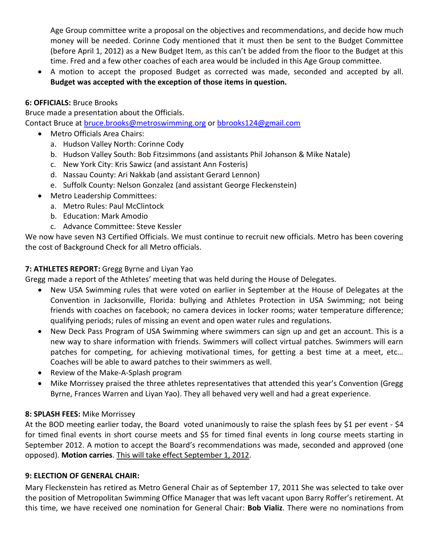Age Group committee write a proposal on the objectives and recommendations, and decide how much money will be needed. Corinne Cody mentioned that it must then be sent to the Budget Committee (before April 1, 2012) as a New Budget Item, as this can't be added from the floor to the Budget at this time. Fred and a few other coaches of each area would be included in this Age Group committee.

 A motion to accept the proposed Budget as corrected was made, seconded and accepted by all. **Budget was accepted with the exception of those items in question.**

# **6: OFFICIALS:** Bruce Brooks

Bruce made a presentation about the Officials. Contact Bruce at [bruce.brooks@metroswimming.org](mailto:bruce.brooks@metroswimming.org) or [bbrooks124@gmail.com](mailto:bbrooks124@gmail.com)

- Metro Officials Area Chairs:
	- a. Hudson Valley North: Corinne Cody
	- b. Hudson Valley South: Bob Fitzsimmons (and assistants Phil Johanson & Mike Natale)
	- c. New York City: Kris Sawicz (and assistant Ann Fosteris)
	- d. Nassau County: Ari Nakkab (and assistant Gerard Lennon)
	- e. Suffolk County: Nelson Gonzalez (and assistant George Fleckenstein)
- Metro Leadership Committees:
	- a. Metro Rules: Paul McClintock
	- b. Education: Mark Amodio
	- c. Advance Committee: Steve Kessler

We now have seven N3 Certified Officials. We must continue to recruit new officials. Metro has been covering the cost of Background Check for all Metro officials.

# **7: ATHLETES REPORT:** Gregg Byrne and Liyan Yao

Gregg made a report of the Athletes' meeting that was held during the House of Delegates.

- New USA Swimming rules that were voted on earlier in September at the House of Delegates at the Convention in Jacksonville, Florida: bullying and Athletes Protection in USA Swimming; not being friends with coaches on facebook; no camera devices in locker rooms; water temperature difference; qualifying periods; rules of missing an event and open water rules and regulations.
- New Deck Pass Program of USA Swimming where swimmers can sign up and get an account. This is a new way to share information with friends. Swimmers will collect virtual patches. Swimmers will earn patches for competing, for achieving motivational times, for getting a best time at a meet, etc… Coaches will be able to award patches to their swimmers as well.
- Review of the Make-A-Splash program
- Mike Morrissey praised the three athletes representatives that attended this year's Convention (Gregg Byrne, Frances Warren and Liyan Yao). They all behaved very well and had a great experience.

### **8: SPLASH FEES:** Mike Morrissey

At the BOD meeting earlier today, the Board voted unanimously to raise the splash fees by \$1 per event - \$4 for timed final events in short course meets and \$5 for timed final events in long course meets starting in September 2012. A motion to accept the Board's recommendations was made, seconded and approved (one opposed). **Motion carries**. This will take effect September 1, 2012.

### **9: ELECTION OF GENERAL CHAIR:**

Mary Fleckenstein has retired as Metro General Chair as of September 17, 2011 She was selected to take over the position of Metropolitan Swimming Office Manager that was left vacant upon Barry Roffer's retirement. At this time, we have received one nomination for General Chair: **Bob Vializ**. There were no nominations from